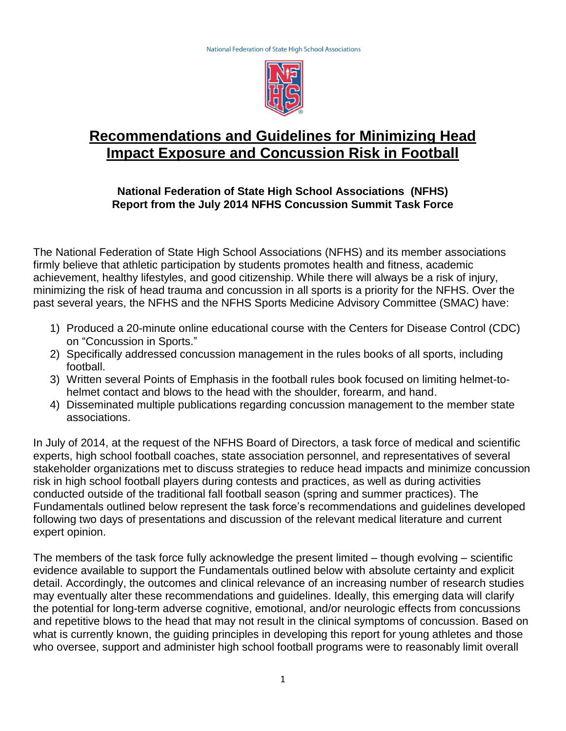

# **Recommendations and Guidelines for Minimizing Head Impact Exposure and Concussion Risk in Football**

## **National Federation of State High School Associations (NFHS) Report from the July 2014 NFHS Concussion Summit Task Force**

The National Federation of State High School Associations (NFHS) and its member associations firmly believe that athletic participation by students promotes health and fitness, academic achievement, healthy lifestyles, and good citizenship. While there will always be a risk of injury, minimizing the risk of head trauma and concussion in all sports is a priority for the NFHS. Over the past several years, the NFHS and the NFHS Sports Medicine Advisory Committee (SMAC) have:

- 1) Produced a 20-minute online educational course with the Centers for Disease Control (CDC) on "Concussion in Sports."
- 2) Specifically addressed concussion management in the rules books of all sports, including football.
- 3) Written several Points of Emphasis in the football rules book focused on limiting helmet-tohelmet contact and blows to the head with the shoulder, forearm, and hand.
- 4) Disseminated multiple publications regarding concussion management to the member state associations.

In July of 2014, at the request of the NFHS Board of Directors, a task force of medical and scientific experts, high school football coaches, state association personnel, and representatives of several stakeholder organizations met to discuss strategies to reduce head impacts and minimize concussion risk in high school football players during contests and practices, as well as during activities conducted outside of the traditional fall football season (spring and summer practices). The Fundamentals outlined below represent the task force's recommendations and guidelines developed following two days of presentations and discussion of the relevant medical literature and current expert opinion.

The members of the task force fully acknowledge the present limited – though evolving – scientific evidence available to support the Fundamentals outlined below with absolute certainty and explicit detail. Accordingly, the outcomes and clinical relevance of an increasing number of research studies may eventually alter these recommendations and guidelines. Ideally, this emerging data will clarify the potential for long-term adverse cognitive, emotional, and/or neurologic effects from concussions and repetitive blows to the head that may not result in the clinical symptoms of concussion. Based on what is currently known, the guiding principles in developing this report for young athletes and those who oversee, support and administer high school football programs were to reasonably limit overall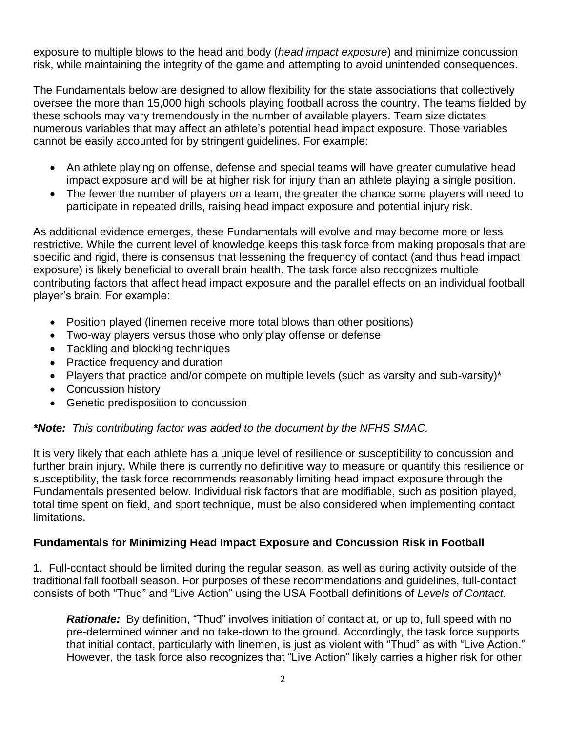exposure to multiple blows to the head and body (*head impact exposure*) and minimize concussion risk, while maintaining the integrity of the game and attempting to avoid unintended consequences.

The Fundamentals below are designed to allow flexibility for the state associations that collectively oversee the more than 15,000 high schools playing football across the country. The teams fielded by these schools may vary tremendously in the number of available players. Team size dictates numerous variables that may affect an athlete's potential head impact exposure. Those variables cannot be easily accounted for by stringent guidelines. For example:

- An athlete playing on offense, defense and special teams will have greater cumulative head impact exposure and will be at higher risk for injury than an athlete playing a single position.
- The fewer the number of players on a team, the greater the chance some players will need to participate in repeated drills, raising head impact exposure and potential injury risk.

As additional evidence emerges, these Fundamentals will evolve and may become more or less restrictive. While the current level of knowledge keeps this task force from making proposals that are specific and rigid, there is consensus that lessening the frequency of contact (and thus head impact exposure) is likely beneficial to overall brain health. The task force also recognizes multiple contributing factors that affect head impact exposure and the parallel effects on an individual football player's brain. For example:

- Position played (linemen receive more total blows than other positions)
- Two-way players versus those who only play offense or defense
- Tackling and blocking techniques
- Practice frequency and duration
- Players that practice and/or compete on multiple levels (such as varsity and sub-varsity)\*
- Concussion history
- Genetic predisposition to concussion

#### *\*Note: This contributing factor was added to the document by the NFHS SMAC.*

It is very likely that each athlete has a unique level of resilience or susceptibility to concussion and further brain injury. While there is currently no definitive way to measure or quantify this resilience or susceptibility, the task force recommends reasonably limiting head impact exposure through the Fundamentals presented below. Individual risk factors that are modifiable, such as position played, total time spent on field, and sport technique, must be also considered when implementing contact limitations.

#### **Fundamentals for Minimizing Head Impact Exposure and Concussion Risk in Football**

1. Full-contact should be limited during the regular season, as well as during activity outside of the traditional fall football season. For purposes of these recommendations and guidelines, full-contact consists of both "Thud" and "Live Action" using the USA Football definitions of *Levels of Contact*.

**Rationale:** By definition, "Thud" involves initiation of contact at, or up to, full speed with no pre-determined winner and no take-down to the ground. Accordingly, the task force supports that initial contact, particularly with linemen, is just as violent with "Thud" as with "Live Action." However, the task force also recognizes that "Live Action" likely carries a higher risk for other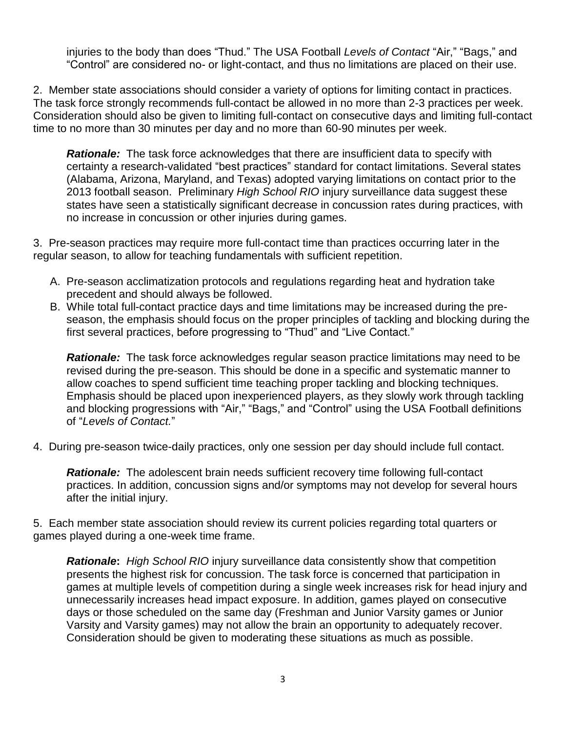injuries to the body than does "Thud." The USA Football *Levels of Contact* "Air," "Bags," and "Control" are considered no- or light-contact, and thus no limitations are placed on their use.

2. Member state associations should consider a variety of options for limiting contact in practices. The task force strongly recommends full-contact be allowed in no more than 2-3 practices per week. Consideration should also be given to limiting full-contact on consecutive days and limiting full-contact time to no more than 30 minutes per day and no more than 60-90 minutes per week.

*Rationale:* The task force acknowledges that there are insufficient data to specify with certainty a research-validated "best practices" standard for contact limitations. Several states (Alabama, Arizona, Maryland, and Texas) adopted varying limitations on contact prior to the 2013 football season. Preliminary *High School RIO* injury surveillance data suggest these states have seen a statistically significant decrease in concussion rates during practices, with no increase in concussion or other injuries during games.

3. Pre-season practices may require more full-contact time than practices occurring later in the regular season, to allow for teaching fundamentals with sufficient repetition.

- A. Pre-season acclimatization protocols and regulations regarding heat and hydration take precedent and should always be followed.
- B. While total full-contact practice days and time limitations may be increased during the preseason, the emphasis should focus on the proper principles of tackling and blocking during the first several practices, before progressing to "Thud" and "Live Contact."

**Rationale:** The task force acknowledges regular season practice limitations may need to be revised during the pre-season. This should be done in a specific and systematic manner to allow coaches to spend sufficient time teaching proper tackling and blocking techniques. Emphasis should be placed upon inexperienced players, as they slowly work through tackling and blocking progressions with "Air," "Bags," and "Control" using the USA Football definitions of "*Levels of Contact.*"

4. During pre-season twice-daily practices, only one session per day should include full contact.

*Rationale:* The adolescent brain needs sufficient recovery time following full-contact practices. In addition, concussion signs and/or symptoms may not develop for several hours after the initial injury.

5. Each member state association should review its current policies regarding total quarters or games played during a one-week time frame.

*Rationale***:** *High School RIO* injury surveillance data consistently show that competition presents the highest risk for concussion. The task force is concerned that participation in games at multiple levels of competition during a single week increases risk for head injury and unnecessarily increases head impact exposure. In addition, games played on consecutive days or those scheduled on the same day (Freshman and Junior Varsity games or Junior Varsity and Varsity games) may not allow the brain an opportunity to adequately recover. Consideration should be given to moderating these situations as much as possible.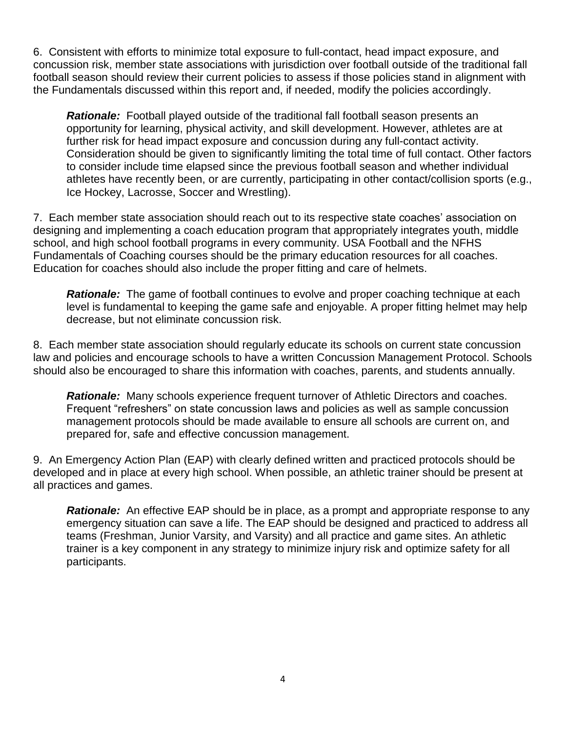6. Consistent with efforts to minimize total exposure to full-contact, head impact exposure, and concussion risk, member state associations with jurisdiction over football outside of the traditional fall football season should review their current policies to assess if those policies stand in alignment with the Fundamentals discussed within this report and, if needed, modify the policies accordingly.

*Rationale:* Football played outside of the traditional fall football season presents an opportunity for learning, physical activity, and skill development. However, athletes are at further risk for head impact exposure and concussion during any full-contact activity. Consideration should be given to significantly limiting the total time of full contact. Other factors to consider include time elapsed since the previous football season and whether individual athletes have recently been, or are currently, participating in other contact/collision sports (e.g., Ice Hockey, Lacrosse, Soccer and Wrestling).

7. Each member state association should reach out to its respective state coaches' association on designing and implementing a coach education program that appropriately integrates youth, middle school, and high school football programs in every community. USA Football and the NFHS Fundamentals of Coaching courses should be the primary education resources for all coaches. Education for coaches should also include the proper fitting and care of helmets.

**Rationale:** The game of football continues to evolve and proper coaching technique at each level is fundamental to keeping the game safe and enjoyable. A proper fitting helmet may help decrease, but not eliminate concussion risk.

8. Each member state association should regularly educate its schools on current state concussion law and policies and encourage schools to have a written Concussion Management Protocol. Schools should also be encouraged to share this information with coaches, parents, and students annually.

**Rationale:** Many schools experience frequent turnover of Athletic Directors and coaches. Frequent "refreshers" on state concussion laws and policies as well as sample concussion management protocols should be made available to ensure all schools are current on, and prepared for, safe and effective concussion management.

9. An Emergency Action Plan (EAP) with clearly defined written and practiced protocols should be developed and in place at every high school. When possible, an athletic trainer should be present at all practices and games.

*Rationale:* An effective EAP should be in place, as a prompt and appropriate response to any emergency situation can save a life. The EAP should be designed and practiced to address all teams (Freshman, Junior Varsity, and Varsity) and all practice and game sites. An athletic trainer is a key component in any strategy to minimize injury risk and optimize safety for all participants.